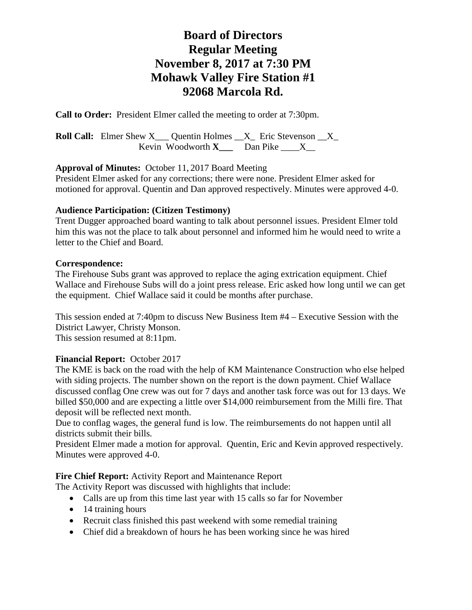# **Board of Directors Regular Meeting November 8, 2017 at 7:30 PM Mohawk Valley Fire Station #1 92068 Marcola Rd.**

**Call to Order:** President Elmer called the meeting to order at 7:30pm.

**Roll Call:** Elmer Shew X Quentin Holmes X Eric Stevenson X Kevin Woodworth  $X_$  Dan Pike  $X_$ 

# **Approval of Minutes:** October 11, 2017 Board Meeting

President Elmer asked for any corrections; there were none. President Elmer asked for motioned for approval. Quentin and Dan approved respectively. Minutes were approved 4-0.

# **Audience Participation: (Citizen Testimony)**

Trent Dugger approached board wanting to talk about personnel issues. President Elmer told him this was not the place to talk about personnel and informed him he would need to write a letter to the Chief and Board.

# **Correspondence:**

The Firehouse Subs grant was approved to replace the aging extrication equipment. Chief Wallace and Firehouse Subs will do a joint press release. Eric asked how long until we can get the equipment. Chief Wallace said it could be months after purchase.

This session ended at 7:40pm to discuss New Business Item #4 – Executive Session with the District Lawyer, Christy Monson.

This session resumed at 8:11pm.

# **Financial Report:** October 2017

The KME is back on the road with the help of KM Maintenance Construction who else helped with siding projects. The number shown on the report is the down payment. Chief Wallace discussed conflag One crew was out for 7 days and another task force was out for 13 days. We billed \$50,000 and are expecting a little over \$14,000 reimbursement from the Milli fire. That deposit will be reflected next month.

Due to conflag wages, the general fund is low. The reimbursements do not happen until all districts submit their bills.

President Elmer made a motion for approval. Quentin, Eric and Kevin approved respectively. Minutes were approved 4-0.

# **Fire Chief Report:** Activity Report and Maintenance Report

The Activity Report was discussed with highlights that include:

- Calls are up from this time last year with 15 calls so far for November
- 14 training hours
- Recruit class finished this past weekend with some remedial training
- Chief did a breakdown of hours he has been working since he was hired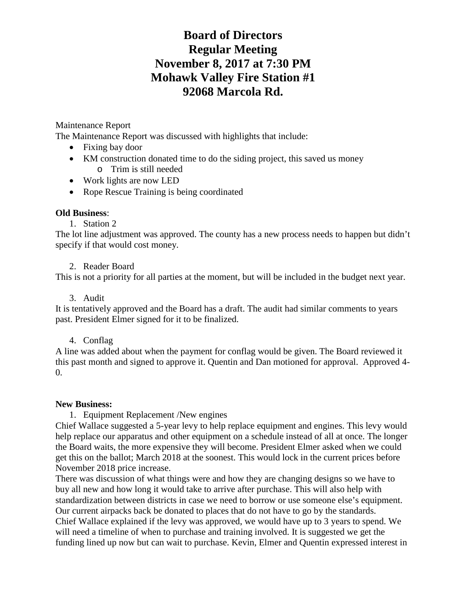# **Board of Directors Regular Meeting November 8, 2017 at 7:30 PM Mohawk Valley Fire Station #1 92068 Marcola Rd.**

# Maintenance Report

The Maintenance Report was discussed with highlights that include:

- Fixing bay door
- KM construction donated time to do the siding project, this saved us money o Trim is still needed
- Work lights are now LED
- Rope Rescue Training is being coordinated

#### **Old Business**:

1. Station 2

The lot line adjustment was approved. The county has a new process needs to happen but didn't specify if that would cost money.

#### 2. Reader Board

This is not a priority for all parties at the moment, but will be included in the budget next year.

#### 3. Audit

It is tentatively approved and the Board has a draft. The audit had similar comments to years past. President Elmer signed for it to be finalized.

#### 4. Conflag

A line was added about when the payment for conflag would be given. The Board reviewed it this past month and signed to approve it. Quentin and Dan motioned for approval. Approved 4- 0.

#### **New Business:**

1. Equipment Replacement /New engines

Chief Wallace suggested a 5-year levy to help replace equipment and engines. This levy would help replace our apparatus and other equipment on a schedule instead of all at once. The longer the Board waits, the more expensive they will become. President Elmer asked when we could get this on the ballot; March 2018 at the soonest. This would lock in the current prices before November 2018 price increase.

There was discussion of what things were and how they are changing designs so we have to buy all new and how long it would take to arrive after purchase. This will also help with standardization between districts in case we need to borrow or use someone else's equipment. Our current airpacks back be donated to places that do not have to go by the standards. Chief Wallace explained if the levy was approved, we would have up to 3 years to spend. We will need a timeline of when to purchase and training involved. It is suggested we get the funding lined up now but can wait to purchase. Kevin, Elmer and Quentin expressed interest in